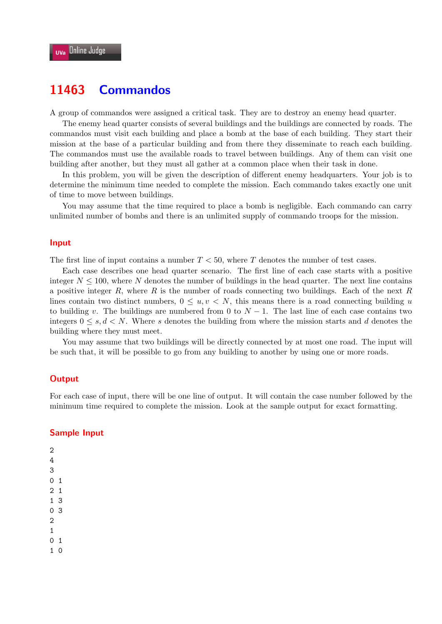# **11463 Commandos**

A group of commandos were assigned a critical task. They are to destroy an enemy head quarter.

The enemy head quarter consists of several buildings and the buildings are connected by roads. The commandos must visit each building and place a bomb at the base of each building. They start their mission at the base of a particular building and from there they disseminate to reach each building. The commandos must use the available roads to travel between buildings. Any of them can visit one building after another, but they must all gather at a common place when their task in done.

In this problem, you will be given the description of different enemy headquarters. Your job is to determine the minimum time needed to complete the mission. Each commando takes exactly one unit of time to move between buildings.

You may assume that the time required to place a bomb is negligible. Each commando can carry unlimited number of bombs and there is an unlimited supply of commando troops for the mission.

#### **Input**

The first line of input contains a number *T <* 50, where *T* denotes the number of test cases.

Each case describes one head quarter scenario. The first line of each case starts with a positive integer  $N \leq 100$ , where  $N$  denotes the number of buildings in the head quarter. The next line contains a positive integer *R*, where *R* is the number of roads connecting two buildings. Each of the next *R* lines contain two distinct numbers,  $0 \leq u, v \leq N$ , this means there is a road connecting building *u* to building *v*. The buildings are numbered from 0 to  $N-1$ . The last line of each case contains two integers  $0 \leq s, d \leq N$ . Where *s* denotes the building from where the mission starts and *d* denotes the building where they must meet.

You may assume that two buildings will be directly connected by at most one road. The input will be such that, it will be possible to go from any building to another by using one or more roads.

#### **Output**

For each case of input, there will be one line of output. It will contain the case number followed by the minimum time required to complete the mission. Look at the sample output for exact formatting.

### **Sample Input**

1

0 1

1 0